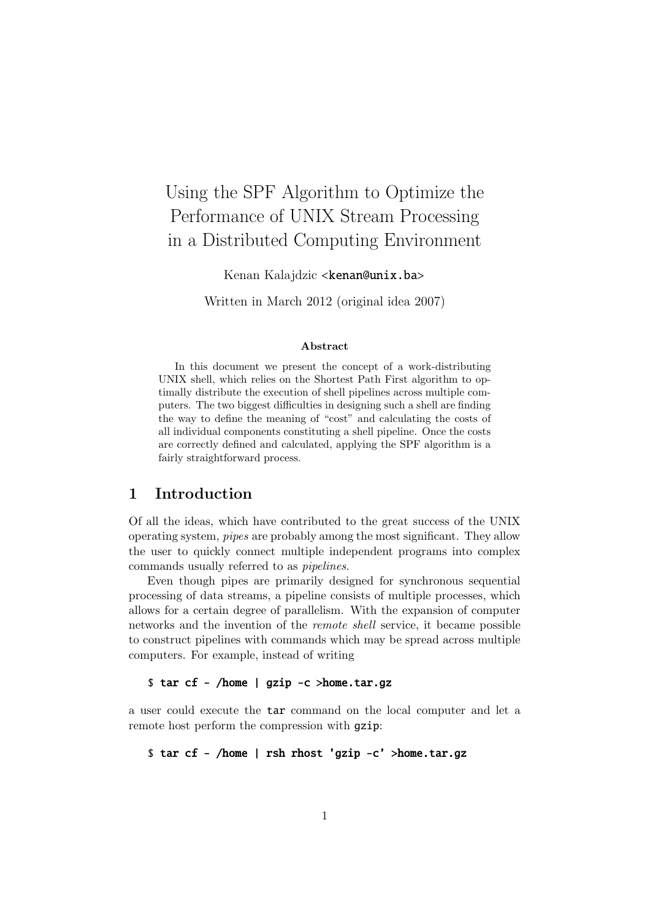# Using the SPF Algorithm to Optimize the Performance of UNIX Stream Processing in a Distributed Computing Environment

Kenan Kalajdzic <**kenan@unix.ba>** 

Written in March 2012 (original idea 2007)

#### Abstract

In this document we present the concept of a work-distributing UNIX shell, which relies on the Shortest Path First algorithm to optimally distribute the execution of shell pipelines across multiple computers. The two biggest difficulties in designing such a shell are finding the way to define the meaning of "cost" and calculating the costs of all individual components constituting a shell pipeline. Once the costs are correctly defined and calculated, applying the SPF algorithm is a fairly straightforward process.

## 1 Introduction

Of all the ideas, which have contributed to the great success of the UNIX operating system, pipes are probably among the most significant. They allow the user to quickly connect multiple independent programs into complex commands usually referred to as pipelines.

Even though pipes are primarily designed for synchronous sequential processing of data streams, a pipeline consists of multiple processes, which allows for a certain degree of parallelism. With the expansion of computer networks and the invention of the remote shell service, it became possible to construct pipelines with commands which may be spread across multiple computers. For example, instead of writing

#### \$ tar cf - /home | gzip -c >home.tar.gz

a user could execute the tar command on the local computer and let a remote host perform the compression with gzip:

\$ tar cf - /home | rsh rhost 'gzip -c' >home.tar.gz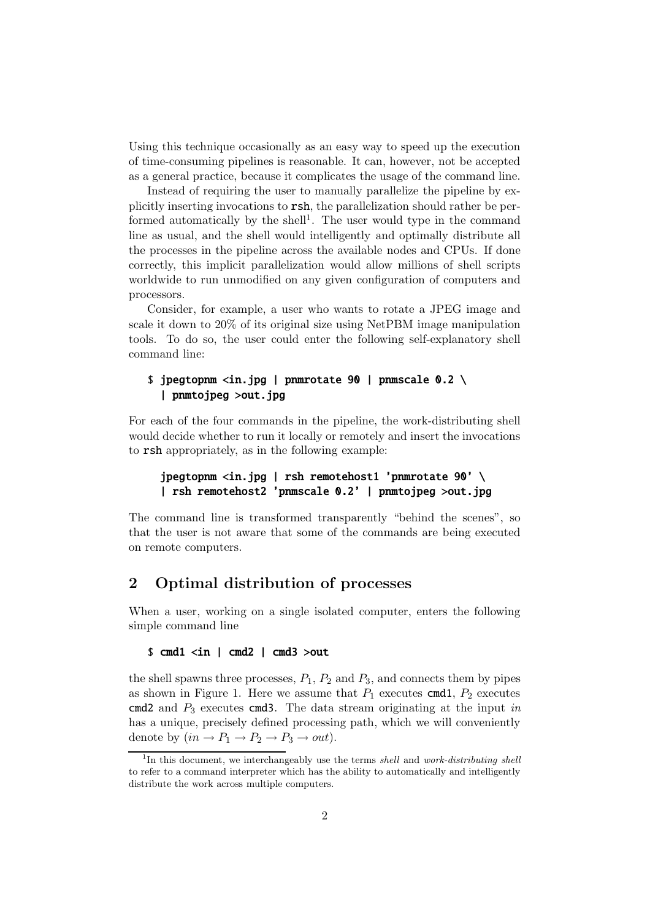Using this technique occasionally as an easy way to speed up the execution of time-consuming pipelines is reasonable. It can, however, not be accepted as a general practice, because it complicates the usage of the command line.

Instead of requiring the user to manually parallelize the pipeline by explicitly inserting invocations to rsh, the parallelization should rather be performed automatically by the shell<sup>1</sup>. The user would type in the command line as usual, and the shell would intelligently and optimally distribute all the processes in the pipeline across the available nodes and CPUs. If done correctly, this implicit parallelization would allow millions of shell scripts worldwide to run unmodified on any given configuration of computers and processors.

Consider, for example, a user who wants to rotate a JPEG image and scale it down to 20% of its original size using NetPBM image manipulation tools. To do so, the user could enter the following self-explanatory shell command line:

## \$ jpegtopnm <in.jpg | pnmrotate 90 | pnmscale 0.2 \ | pnmtojpeg >out.jpg

For each of the four commands in the pipeline, the work-distributing shell would decide whether to run it locally or remotely and insert the invocations to rsh appropriately, as in the following example:

## jpegtopnm <in.jpg | rsh remotehost1 'pnmrotate 90' \ | rsh remotehost2 'pnmscale 0.2' | pnmtojpeg >out.jpg

The command line is transformed transparently "behind the scenes", so that the user is not aware that some of the commands are being executed on remote computers.

## 2 Optimal distribution of processes

When a user, working on a single isolated computer, enters the following simple command line

#### \$ cmd1 <in | cmd2 | cmd3 >out

the shell spawns three processes,  $P_1$ ,  $P_2$  and  $P_3$ , and connects them by pipes as shown in Figure 1. Here we assume that  $P_1$  executes cmd1,  $P_2$  executes cmd2 and  $P_3$  executes cmd3. The data stream originating at the input in has a unique, precisely defined processing path, which we will conveniently denote by  $(in \rightarrow P_1 \rightarrow P_2 \rightarrow P_3 \rightarrow out).$ 

<sup>&</sup>lt;sup>1</sup>In this document, we interchangeably use the terms shell and work-distributing shell to refer to a command interpreter which has the ability to automatically and intelligently distribute the work across multiple computers.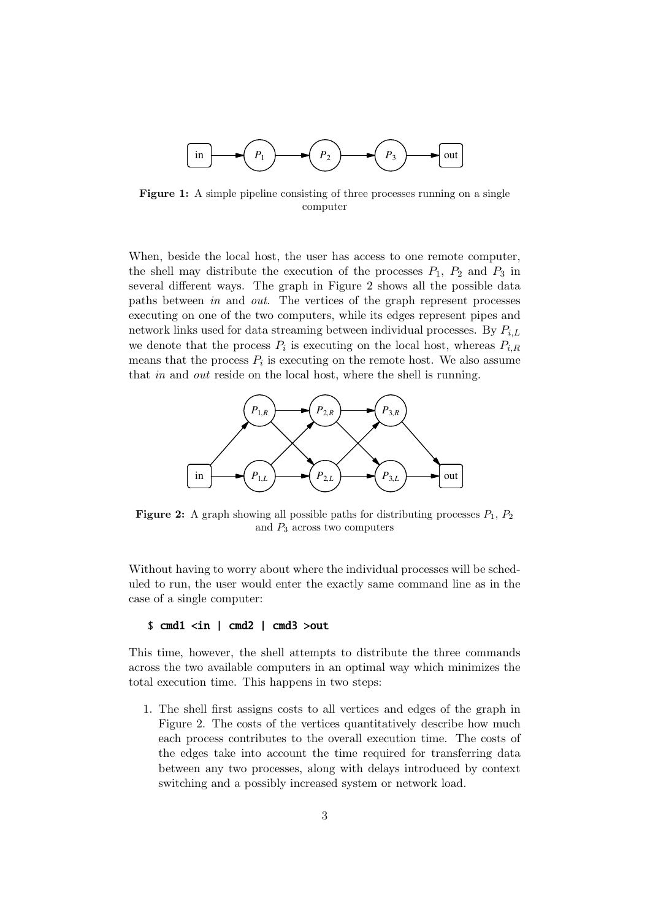

Figure 1: A simple pipeline consisting of three processes running on a single computer

When, beside the local host, the user has access to one remote computer, the shell may distribute the execution of the processes  $P_1$ ,  $P_2$  and  $P_3$  in several different ways. The graph in Figure 2 shows all the possible data paths between in and out. The vertices of the graph represent processes executing on one of the two computers, while its edges represent pipes and network links used for data streaming between individual processes. By  $P_{i,L}$ we denote that the process  $P_i$  is executing on the local host, whereas  $P_{i,R}$ means that the process  $P_i$  is executing on the remote host. We also assume that in and out reside on the local host, where the shell is running.



**Figure 2:** A graph showing all possible paths for distributing processes  $P_1$ ,  $P_2$ and  $P_3$  across two computers

Without having to worry about where the individual processes will be scheduled to run, the user would enter the exactly same command line as in the case of a single computer:

#### \$ cmd1 <in | cmd2 | cmd3 >out

This time, however, the shell attempts to distribute the three commands across the two available computers in an optimal way which minimizes the total execution time. This happens in two steps:

1. The shell first assigns costs to all vertices and edges of the graph in Figure 2. The costs of the vertices quantitatively describe how much each process contributes to the overall execution time. The costs of the edges take into account the time required for transferring data between any two processes, along with delays introduced by context switching and a possibly increased system or network load.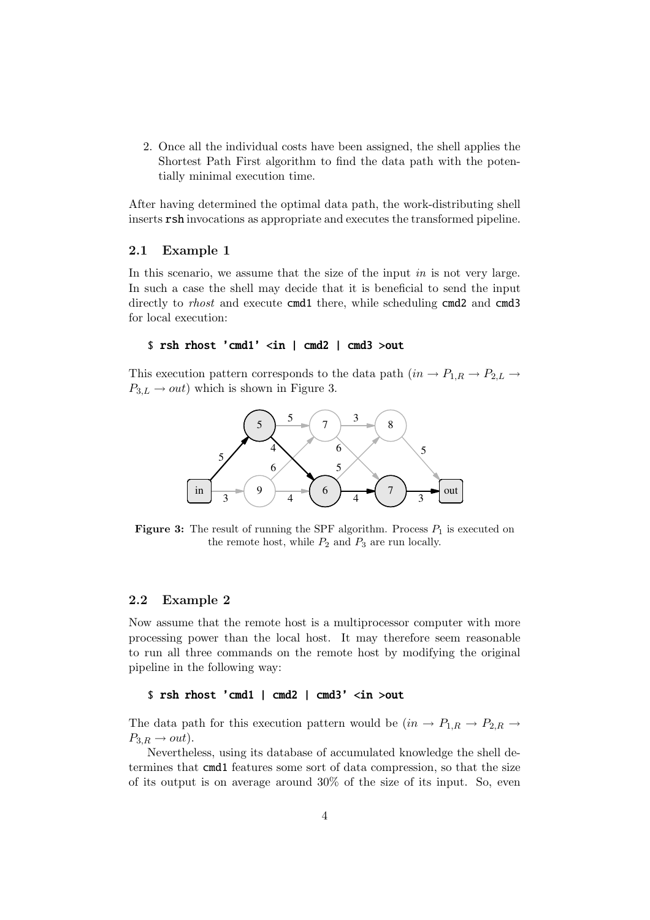2. Once all the individual costs have been assigned, the shell applies the Shortest Path First algorithm to find the data path with the potentially minimal execution time.

After having determined the optimal data path, the work-distributing shell inserts rsh invocations as appropriate and executes the transformed pipeline.

#### 2.1 Example 1

In this scenario, we assume that the size of the input in is not very large. In such a case the shell may decide that it is beneficial to send the input directly to *rhost* and execute cmd1 there, while scheduling cmd2 and cmd3 for local execution:

#### \$ rsh rhost 'cmd1' <in | cmd2 | cmd3 >out

This execution pattern corresponds to the data path  $(in \rightarrow P_{1,R} \rightarrow P_{2,L} \rightarrow$  $P_{3,L} \rightarrow out$ ) which is shown in Figure 3.



**Figure 3:** The result of running the SPF algorithm. Process  $P_1$  is executed on the remote host, while  $P_2$  and  $P_3$  are run locally.

#### 2.2 Example 2

Now assume that the remote host is a multiprocessor computer with more processing power than the local host. It may therefore seem reasonable to run all three commands on the remote host by modifying the original pipeline in the following way:

#### \$ rsh rhost 'cmd1 | cmd2 | cmd3' <in >out

The data path for this execution pattern would be  $(in \rightarrow P_{1,R} \rightarrow P_{2,R} \rightarrow$  $P_{3,R} \rightarrow out$ ).

Nevertheless, using its database of accumulated knowledge the shell determines that cmd1 features some sort of data compression, so that the size of its output is on average around 30% of the size of its input. So, even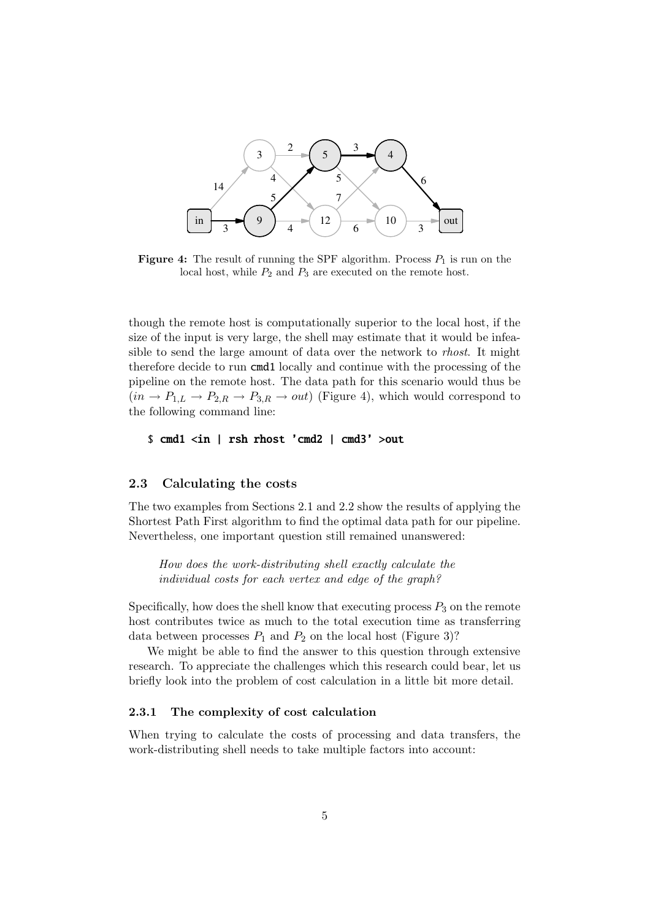

**Figure 4:** The result of running the SPF algorithm. Process  $P_1$  is run on the local host, while  $P_2$  and  $P_3$  are executed on the remote host.

though the remote host is computationally superior to the local host, if the size of the input is very large, the shell may estimate that it would be infeasible to send the large amount of data over the network to rhost. It might therefore decide to run cmd1 locally and continue with the processing of the pipeline on the remote host. The data path for this scenario would thus be  $(in \rightarrow P_{1,L} \rightarrow P_{2,R} \rightarrow P_{3,R} \rightarrow out)$  (Figure 4), which would correspond to the following command line:

```
$ cmd1 <in | rsh rhost 'cmd2 | cmd3' >out
```
#### 2.3 Calculating the costs

The two examples from Sections 2.1 and 2.2 show the results of applying the Shortest Path First algorithm to find the optimal data path for our pipeline. Nevertheless, one important question still remained unanswered:

How does the work-distributing shell exactly calculate the individual costs for each vertex and edge of the graph?

Specifically, how does the shell know that executing process  $P_3$  on the remote host contributes twice as much to the total execution time as transferring data between processes  $P_1$  and  $P_2$  on the local host (Figure 3)?

We might be able to find the answer to this question through extensive research. To appreciate the challenges which this research could bear, let us briefly look into the problem of cost calculation in a little bit more detail.

### 2.3.1 The complexity of cost calculation

When trying to calculate the costs of processing and data transfers, the work-distributing shell needs to take multiple factors into account: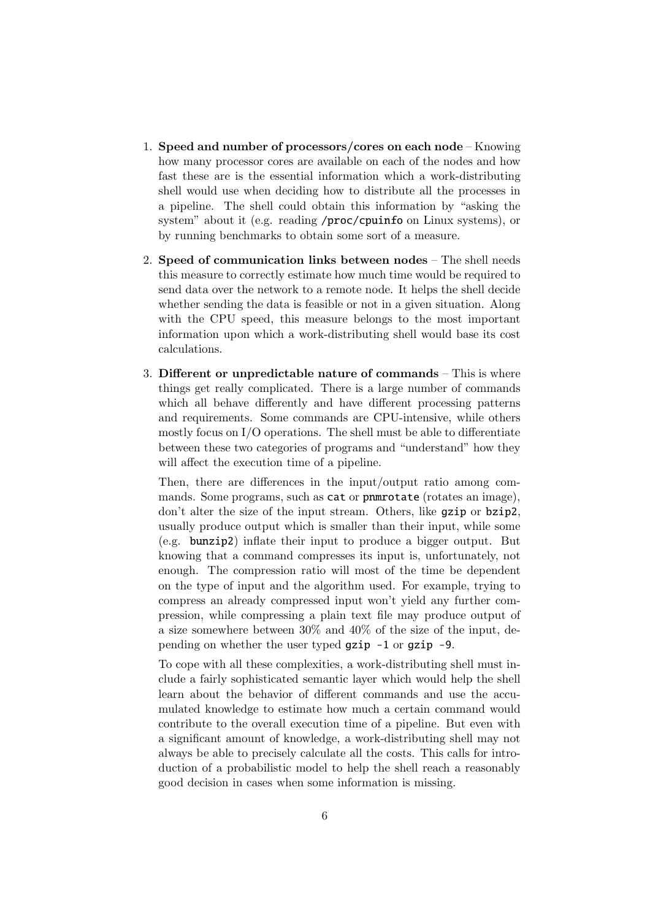- 1. Speed and number of processors/cores on each node Knowing how many processor cores are available on each of the nodes and how fast these are is the essential information which a work-distributing shell would use when deciding how to distribute all the processes in a pipeline. The shell could obtain this information by "asking the system" about it (e.g. reading /proc/cpuinfo on Linux systems), or by running benchmarks to obtain some sort of a measure.
- 2. Speed of communication links between nodes The shell needs this measure to correctly estimate how much time would be required to send data over the network to a remote node. It helps the shell decide whether sending the data is feasible or not in a given situation. Along with the CPU speed, this measure belongs to the most important information upon which a work-distributing shell would base its cost calculations.
- 3. Different or unpredictable nature of commands This is where things get really complicated. There is a large number of commands which all behave differently and have different processing patterns and requirements. Some commands are CPU-intensive, while others mostly focus on I/O operations. The shell must be able to differentiate between these two categories of programs and "understand" how they will affect the execution time of a pipeline.

Then, there are differences in the input/output ratio among commands. Some programs, such as **cat** or **pnmrotate** (rotates an image), don't alter the size of the input stream. Others, like gzip or bzip2, usually produce output which is smaller than their input, while some (e.g. bunzip2) inflate their input to produce a bigger output. But knowing that a command compresses its input is, unfortunately, not enough. The compression ratio will most of the time be dependent on the type of input and the algorithm used. For example, trying to compress an already compressed input won't yield any further compression, while compressing a plain text file may produce output of a size somewhere between 30% and 40% of the size of the input, depending on whether the user typed gzip -1 or gzip -9.

To cope with all these complexities, a work-distributing shell must include a fairly sophisticated semantic layer which would help the shell learn about the behavior of different commands and use the accumulated knowledge to estimate how much a certain command would contribute to the overall execution time of a pipeline. But even with a significant amount of knowledge, a work-distributing shell may not always be able to precisely calculate all the costs. This calls for introduction of a probabilistic model to help the shell reach a reasonably good decision in cases when some information is missing.